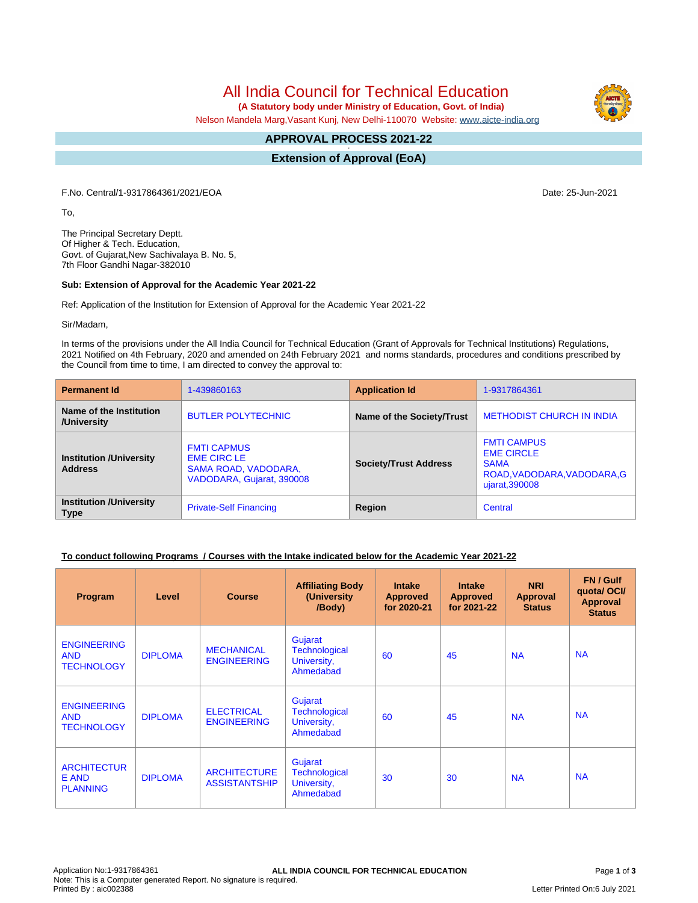# All India Council for Technical Education

 **(A Statutory body under Ministry of Education, Govt. of India)**

Nelson Mandela Marg,Vasant Kunj, New Delhi-110070 Website: [www.aicte-india.org](http://www.aicte-india.org)

#### **APPROVAL PROCESS 2021-22 -**

**Extension of Approval (EoA)**

F.No. Central/1-9317864361/2021/EOA Date: 25-Jun-2021

To,

The Principal Secretary Deptt. Of Higher & Tech. Education, Govt. of Gujarat,New Sachivalaya B. No. 5, 7th Floor Gandhi Nagar-382010

#### **Sub: Extension of Approval for the Academic Year 2021-22**

Ref: Application of the Institution for Extension of Approval for the Academic Year 2021-22

Sir/Madam,

In terms of the provisions under the All India Council for Technical Education (Grant of Approvals for Technical Institutions) Regulations, 2021 Notified on 4th February, 2020 and amended on 24th February 2021 and norms standards, procedures and conditions prescribed by the Council from time to time, I am directed to convey the approval to:

| <b>Permanent Id</b>                              | 1-439860163                                                                                   | <b>Application Id</b>        | 1-9317864361                                                                                            |  |
|--------------------------------------------------|-----------------------------------------------------------------------------------------------|------------------------------|---------------------------------------------------------------------------------------------------------|--|
| Name of the Institution<br>/University           | <b>BUTLER POLYTECHNIC</b>                                                                     | Name of the Society/Trust    | <b>METHODIST CHURCH IN INDIA</b>                                                                        |  |
| <b>Institution /University</b><br><b>Address</b> | <b>FMTI CAPMUS</b><br><b>EME CIRC LE</b><br>SAMA ROAD, VADODARA,<br>VADODARA, Gujarat, 390008 | <b>Society/Trust Address</b> | <b>FMTI CAMPUS</b><br><b>EME CIRCLE</b><br><b>SAMA</b><br>ROAD, VADODARA, VADODARA, G<br>ujarat, 390008 |  |
| <b>Institution /University</b><br><b>Type</b>    | <b>Private-Self Financing</b>                                                                 | Region                       | Central                                                                                                 |  |

#### **To conduct following Programs / Courses with the Intake indicated below for the Academic Year 2021-22**

| Program                                               | Level          | <b>Course</b>                               | <b>Affiliating Body</b><br>(University<br>/Body)            | <b>Intake</b><br><b>Approved</b><br>for 2020-21 | <b>Intake</b><br><b>Approved</b><br>for 2021-22 | <b>NRI</b><br>Approval<br><b>Status</b> | FN / Gulf<br>quota/OCI/<br><b>Approval</b><br><b>Status</b> |
|-------------------------------------------------------|----------------|---------------------------------------------|-------------------------------------------------------------|-------------------------------------------------|-------------------------------------------------|-----------------------------------------|-------------------------------------------------------------|
| <b>ENGINEERING</b><br><b>AND</b><br><b>TECHNOLOGY</b> | <b>DIPLOMA</b> | <b>MECHANICAL</b><br><b>ENGINEERING</b>     | Gujarat<br><b>Technological</b><br>University,<br>Ahmedabad | 60                                              | 45                                              | <b>NA</b>                               | <b>NA</b>                                                   |
| <b>ENGINEERING</b><br><b>AND</b><br><b>TECHNOLOGY</b> | <b>DIPLOMA</b> | <b>ELECTRICAL</b><br><b>ENGINEERING</b>     | Gujarat<br><b>Technological</b><br>University,<br>Ahmedabad | 60                                              | 45                                              | <b>NA</b>                               | <b>NA</b>                                                   |
| <b>ARCHITECTUR</b><br>E AND<br><b>PLANNING</b>        | <b>DIPLOMA</b> | <b>ARCHITECTURE</b><br><b>ASSISTANTSHIP</b> | Gujarat<br><b>Technological</b><br>University,<br>Ahmedabad | 30                                              | 30                                              | <b>NA</b>                               | <b>NA</b>                                                   |

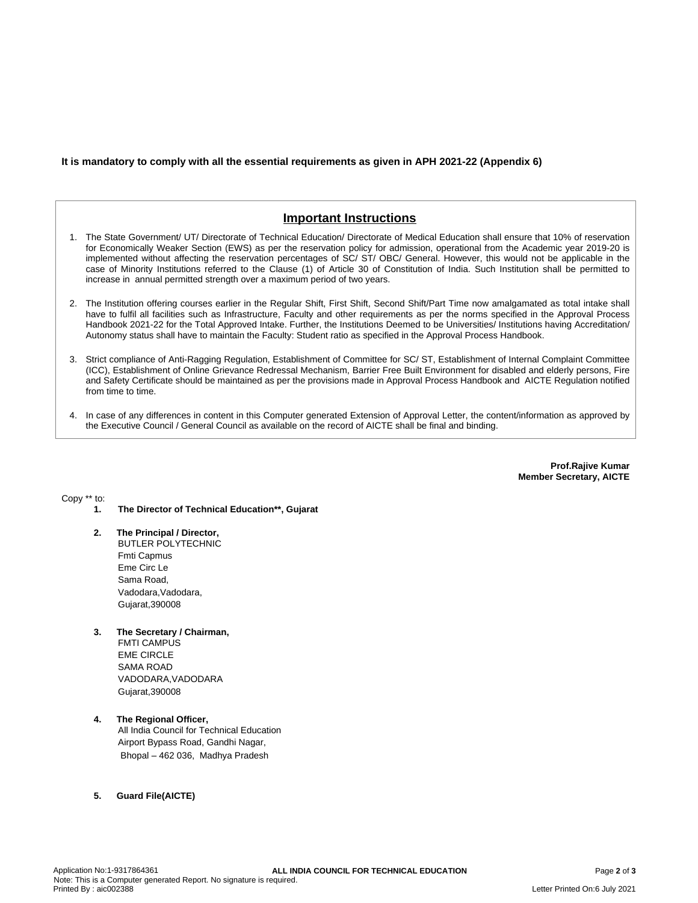### **It is mandatory to comply with all the essential requirements as given in APH 2021-22 (Appendix 6)**

## **Important Instructions**

- 1. The State Government/ UT/ Directorate of Technical Education/ Directorate of Medical Education shall ensure that 10% of reservation for Economically Weaker Section (EWS) as per the reservation policy for admission, operational from the Academic year 2019-20 is implemented without affecting the reservation percentages of SC/ ST/ OBC/ General. However, this would not be applicable in the case of Minority Institutions referred to the Clause (1) of Article 30 of Constitution of India. Such Institution shall be permitted to increase in annual permitted strength over a maximum period of two years.
- 2. The Institution offering courses earlier in the Regular Shift, First Shift, Second Shift/Part Time now amalgamated as total intake shall have to fulfil all facilities such as Infrastructure, Faculty and other requirements as per the norms specified in the Approval Process Handbook 2021-22 for the Total Approved Intake. Further, the Institutions Deemed to be Universities/ Institutions having Accreditation/ Autonomy status shall have to maintain the Faculty: Student ratio as specified in the Approval Process Handbook.
- 3. Strict compliance of Anti-Ragging Regulation, Establishment of Committee for SC/ ST, Establishment of Internal Complaint Committee (ICC), Establishment of Online Grievance Redressal Mechanism, Barrier Free Built Environment for disabled and elderly persons, Fire and Safety Certificate should be maintained as per the provisions made in Approval Process Handbook and AICTE Regulation notified from time to time.
- 4. In case of any differences in content in this Computer generated Extension of Approval Letter, the content/information as approved by the Executive Council / General Council as available on the record of AICTE shall be final and binding.

**Prof.Rajive Kumar Member Secretary, AICTE**

Copy \*\* to:

- **1. The Director of Technical Education\*\*, Gujarat**
- **2. The Principal / Director,** BUTLER POLYTECHNIC Fmti Capmus Eme Circ Le Sama Road, Vadodara, Vadodara, Gujarat,390008
- **3. The Secretary / Chairman,** FMTI CAMPUS EME CIRCLE SAMA ROAD VADODARA,VADODARA Gujarat,390008
- **4. The Regional Officer,** All India Council for Technical Education Airport Bypass Road, Gandhi Nagar, Bhopal – 462 036, Madhya Pradesh

#### **5. Guard File(AICTE)**